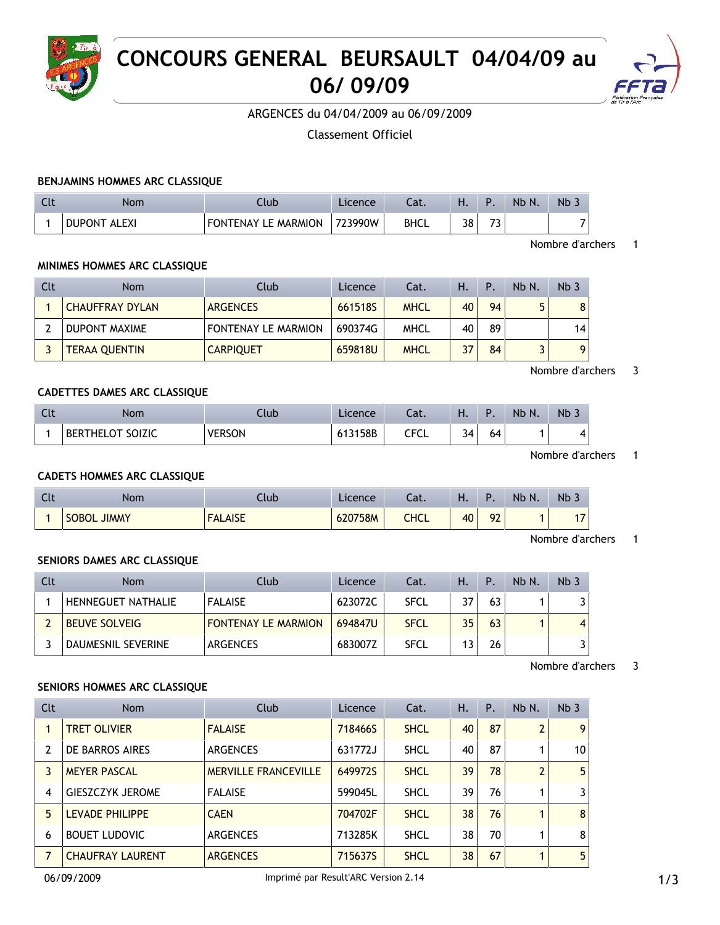

# **CONCOURS GENERAL BEURSAULT 04/04/09 au 06/ 09/09**



ARGENCES du 04/04/2009 au 06/09/2009

Classement Officiel

### **BENJAMINS HOMMES ARC CLASSIQUE**

| Nom                 | Club                       | Licence | Lat.        | . . |                               | Nb N. | Nb                       |
|---------------------|----------------------------|---------|-------------|-----|-------------------------------|-------|--------------------------|
| <b>DUPONT ALEXI</b> | <b>FONTENAY LE MARMION</b> | 723990W | <b>BHCL</b> | 38  | $\overline{\phantom{a}}$<br>ت |       | $\overline{\phantom{a}}$ |

#### Nombre d'archers 1

#### **MINIMES HOMMES ARC CLASSIQUE**

| Clt | Nom                    | Club                       | Licence | Cat.        | Η. | Ρ. | Nb N. | Nb <sub>3</sub> |
|-----|------------------------|----------------------------|---------|-------------|----|----|-------|-----------------|
|     | <b>CHAUFFRAY DYLAN</b> | <b>ARGENCES</b>            | 661518S | <b>MHCL</b> | 40 | 94 | г,    | 8               |
|     | DUPONT MAXIME          | <b>FONTENAY LE MARMION</b> | 690374G | <b>MHCL</b> | 40 | 89 |       | 14              |
|     | <b>TERAA QUENTIN</b>   | <b>CARPIQUET</b>           | 659818U | <b>MHCL</b> | 37 | 84 |       | 9               |

#### Nombre d'archers 3

#### **CADETTES DAMES ARC CLASSIQUE**

| Nom                              | .lub          | Licence | ۰.,<br>-aι. | п. |    | Nb N. | Nb |
|----------------------------------|---------------|---------|-------------|----|----|-------|----|
| <b>SOIZIC</b><br><b>BERTHELO</b> | <b>/ERSON</b> | 613158B | r Er<br>ືີ  | 34 | 64 |       | 4  |

Nombre d'archers 1

### **CADETS HOMMES ARC CLASSIQUE**

| Clt | Nom                | Llub           | Licence. | Cat. | ப<br>п. |    | Nb N. | Nb 3           |
|-----|--------------------|----------------|----------|------|---------|----|-------|----------------|
|     | <b>SOBOL JIMMY</b> | <b>FALAISE</b> | 620758M  | CHCL | 40      | 92 |       | $\overline{ }$ |

Nombre d'archers 1

### **SENIORS DAMES ARC CLASSIQUE**

| Clt | Nom                       | Club                       | Licence | Cat.        | Ή. | P  | Nb N. | Nb <sub>3</sub> |
|-----|---------------------------|----------------------------|---------|-------------|----|----|-------|-----------------|
|     | <b>HENNEGUET NATHALIE</b> | <b>FALAISE</b>             | 623072C | <b>SFCL</b> | 37 | 63 |       |                 |
|     | <b>BEUVE SOLVEIG</b>      | <b>FONTENAY LE MARMION</b> | 694847U | <b>SFCL</b> | 35 | 63 |       | $\overline{4}$  |
|     | <b>DAUMESNIL SEVERINE</b> | ARGENCES                   | 683007Z | <b>SFCL</b> |    | 26 |       |                 |

#### Nombre d'archers 3

#### **SENIORS HOMMES ARC CLASSIQUE**

| Clt | <b>Nom</b>              | Club                        | Licence | Cat.        | Η. | P. | Nb N.          | Nb <sub>3</sub> |
|-----|-------------------------|-----------------------------|---------|-------------|----|----|----------------|-----------------|
|     | <b>TRET OLIVIER</b>     | <b>FALAISE</b>              | 718466S | <b>SHCL</b> | 40 | 87 | $\overline{2}$ | 9               |
| 2   | DE BARROS AIRES         | <b>ARGENCES</b>             | 631772J | <b>SHCL</b> | 40 | 87 |                | 10              |
| 3   | <b>MEYER PASCAL</b>     | <b>MERVILLE FRANCEVILLE</b> | 649972S | <b>SHCL</b> | 39 | 78 | $\overline{2}$ | 5               |
| 4   | <b>GIESZCZYK JEROME</b> | <b>FALAISE</b>              | 599045L | <b>SHCL</b> | 39 | 76 |                | 3               |
| 5   | <b>LEVADE PHILIPPE</b>  | <b>CAEN</b>                 | 704702F | <b>SHCL</b> | 38 | 76 |                | 8               |
| 6   | <b>BOUET LUDOVIC</b>    | <b>ARGENCES</b>             | 713285K | <b>SHCL</b> | 38 | 70 |                | 8               |
|     | <b>CHAUFRAY LAURENT</b> | <b>ARGENCES</b>             | 715637S | <b>SHCL</b> | 38 | 67 | 1              | 5               |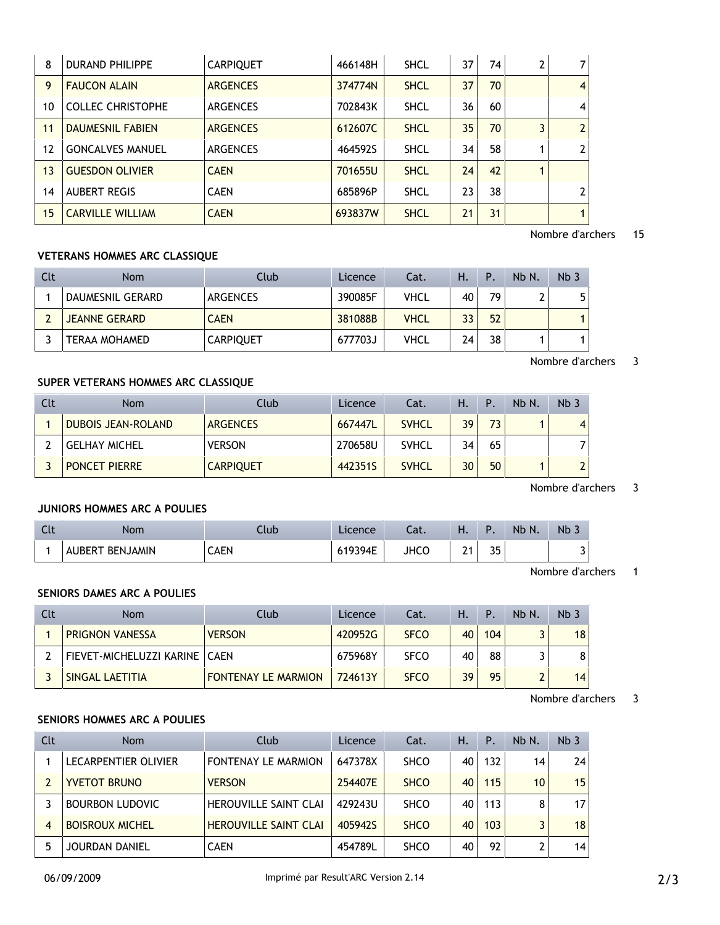| 8  | <b>DURAND PHILIPPE</b>   | <b>CARPIQUET</b> | 466148H | <b>SHCL</b> | 37 | 74 | $\overline{7}$ |
|----|--------------------------|------------------|---------|-------------|----|----|----------------|
| 9  | <b>FAUCON ALAIN</b>      | <b>ARGENCES</b>  | 374774N | <b>SHCL</b> | 37 | 70 | $\overline{4}$ |
| 10 | <b>COLLEC CHRISTOPHE</b> | <b>ARGENCES</b>  | 702843K | <b>SHCL</b> | 36 | 60 | $\overline{4}$ |
| 11 | <b>DAUMESNIL FABIEN</b>  | <b>ARGENCES</b>  | 612607C | <b>SHCL</b> | 35 | 70 | $\overline{2}$ |
| 12 | <b>GONCALVES MANUEL</b>  | <b>ARGENCES</b>  | 464592S | <b>SHCL</b> | 34 | 58 | $\overline{2}$ |
| 13 | <b>GUESDON OLIVIER</b>   | <b>CAEN</b>      | 701655U | <b>SHCL</b> | 24 | 42 |                |
| 14 | <b>AUBERT REGIS</b>      | <b>CAEN</b>      | 685896P | <b>SHCL</b> | 23 | 38 | $\overline{2}$ |
| 15 | <b>CARVILLE WILLIAM</b>  | <b>CAEN</b>      | 693837W | <b>SHCL</b> | 21 | 31 | 1              |

### Nombre d'archers 15

### **VETERANS HOMMES ARC CLASSIQUE**

| Clt | Nom                  | Club             | Licence | Cat.        | Ή. | P  | Nb N. | Nb <sub>3</sub> |
|-----|----------------------|------------------|---------|-------------|----|----|-------|-----------------|
|     | DAUMESNIL GERARD     | ARGENCES         | 390085F | VHCL        | 40 | 79 |       |                 |
|     | <b>JEANNE GERARD</b> | <b>CAEN</b>      | 381088B | <b>VHCL</b> | 33 | 52 |       |                 |
|     | <b>TERAA MOHAMED</b> | <b>CARPIQUET</b> | 677703J | <b>VHCL</b> | 24 | 38 |       |                 |

#### Nombre d'archers 3

### **SUPER VETERANS HOMMES ARC CLASSIQUE**

| Clt | <b>Nom</b>                | Club             | Licence | Cat.         | Ή. | P  | Nb N. | Nb <sub>3</sub> |
|-----|---------------------------|------------------|---------|--------------|----|----|-------|-----------------|
|     | <b>DUBOIS JEAN-ROLAND</b> | <b>ARGENCES</b>  | 667447L | <b>SVHCL</b> | 39 | 73 |       | $\overline{4}$  |
|     | <b>GELHAY MICHEL</b>      | <b>VERSON</b>    | 270658U | <b>SVHCL</b> | 34 | 65 |       |                 |
|     | <b>PONCET PIERRE</b>      | <b>CARPIQUET</b> | 442351S | <b>SVHCL</b> | 30 | 50 |       | $\mathbf{a}$    |

Nombre d'archers 3

## **JUNIORS HOMMES ARC A POULIES**

| $\mathsf{C}$<br>๛๛ | ۱om                              | .lub        | Licence | Jat.        | .      |          | Nb N. | <b>Nb</b> |
|--------------------|----------------------------------|-------------|---------|-------------|--------|----------|-------|-----------|
|                    | <b>BENJAMIN</b><br>. IREP '<br>Δ | <b>CAEN</b> | 19394E  | <b>JHCO</b> | ີ<br>- | つに<br>JJ |       | 3         |

Nombre d'archers 1

## **SENIORS DAMES ARC A POULIES**

| Clt | <b>Nom</b>                      | Club                       | Licence | Cat.        | Н. | $\mathsf{P}$ . | Nb N. | Nb <sub>3</sub> |
|-----|---------------------------------|----------------------------|---------|-------------|----|----------------|-------|-----------------|
|     | <b>PRIGNON VANESSA</b>          | <b>VERSON</b>              | 420952G | <b>SFCO</b> | 40 | 104            |       | 18              |
|     | FIEVET-MICHELUZZI KARINE   CAEN |                            | 675968Y | <b>SFCO</b> | 40 | 88             |       | 8               |
|     | SINGAL LAETITIA                 | <b>FONTENAY LE MARMION</b> | 724613Y | <b>SFCO</b> | 39 | 95             | ີ     | 14              |

Nombre d'archers 3

## **SENIORS HOMMES ARC A POULIES**

| Clt | <b>Nom</b>             | Club                         | Licence | Cat.        | Η. | P.  | Nb N. | Nb <sub>3</sub> |
|-----|------------------------|------------------------------|---------|-------------|----|-----|-------|-----------------|
|     | LECARPENTIER OLIVIER   | <b>FONTENAY LE MARMION</b>   | 647378X | <b>SHCO</b> | 40 | 132 | 14    | 24              |
|     | <b>YVETOT BRUNO</b>    | <b>VERSON</b>                | 254407E | <b>SHCO</b> | 40 | 115 | 10    | 15              |
|     | <b>BOURBON LUDOVIC</b> | <b>HEROUVILLE SAINT CLAI</b> | 429243U | <b>SHCO</b> | 40 | 113 | 8     | 17              |
|     | <b>BOISROUX MICHEL</b> | <b>HEROUVILLE SAINT CLAI</b> | 4059425 | <b>SHCO</b> | 40 | 103 | 3     | 18              |
|     | JOURDAN DANIEL         | <b>CAEN</b>                  | 454789L | <b>SHCO</b> | 40 | 92  | 2     | 14              |